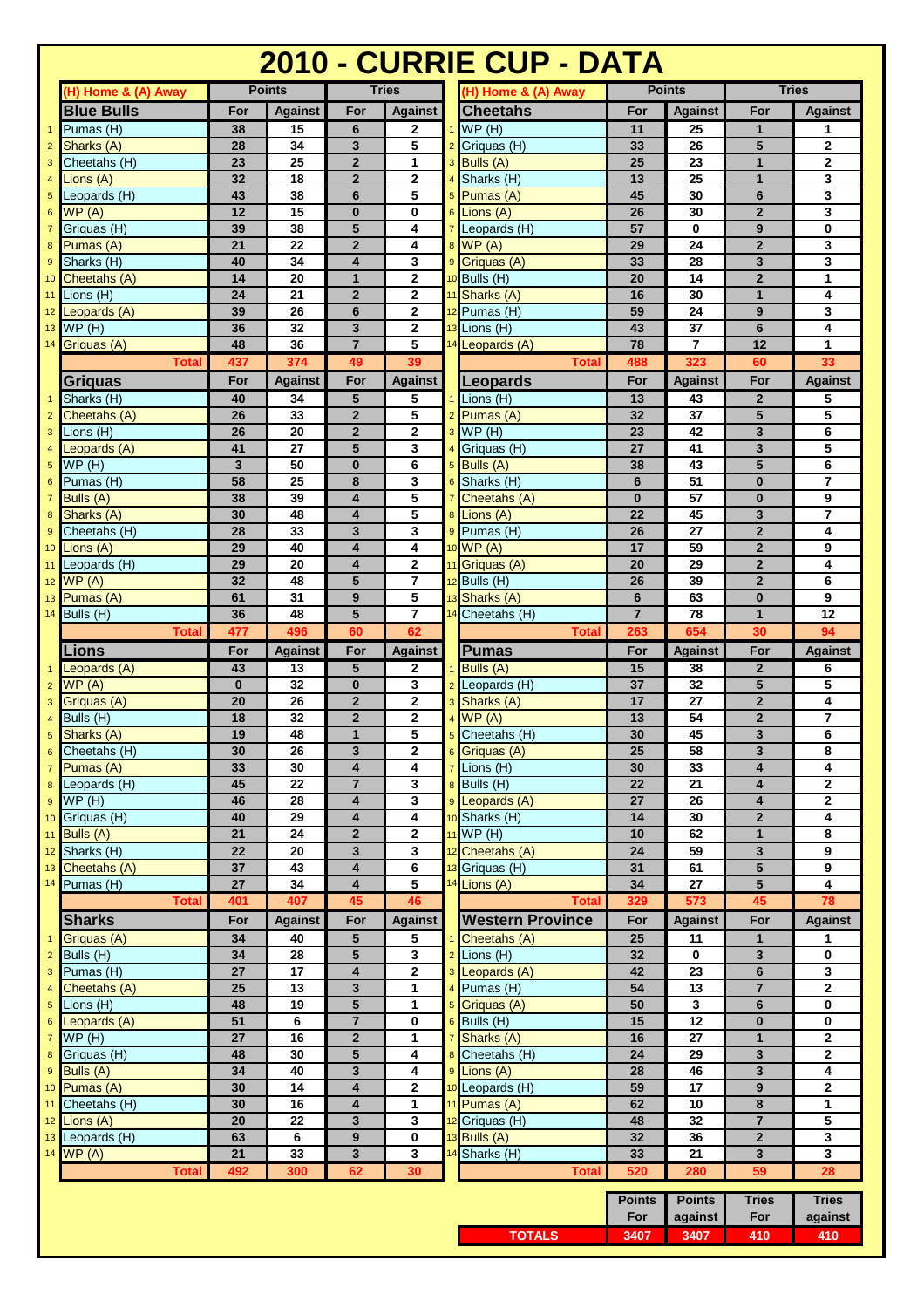|                                   | 2010 - CURRIE CUP - DATA      |                         |                 |                              |                     |    |                             |                 |                 |                                         |                            |
|-----------------------------------|-------------------------------|-------------------------|-----------------|------------------------------|---------------------|----|-----------------------------|-----------------|-----------------|-----------------------------------------|----------------------------|
|                                   | (H) Home & (A) Away           |                         | <b>Points</b>   |                              | <b>Tries</b>        |    | (H) Home & (A) Away         |                 | <b>Points</b>   |                                         | <b>Tries</b>               |
|                                   | <b>Blue Bulls</b>             | For                     | <b>Against</b>  | For                          | <b>Against</b>      |    | <b>Cheetahs</b>             | For             | <b>Against</b>  | For                                     | <b>Against</b>             |
| $\mathbf{1}$                      | Pumas (H)                     | 38                      | 15              | 6                            | 2                   |    | WP(H)                       | 11              | 25              | 1                                       | 1                          |
| $\overline{2}$                    | Sharks (A)                    | 28                      | 34              | 3                            | 5                   |    | Griquas (H)                 | 33              | 26              | 5                                       | $\mathbf 2$                |
| $\mathbf{3}$                      | Cheetahs (H)                  | $\overline{23}$         | 25              | $\overline{2}$               | 1                   |    | Bulls (A)                   | $\overline{25}$ | 23              | $\mathbf{1}$                            | $\mathbf 2$                |
| $\overline{4}$                    | Lions (A)                     | 32                      | 18              | $\overline{\mathbf{2}}$      | $\mathbf 2$         |    | Sharks (H)                  | 13              | 25              | $\mathbf{1}$                            | 3                          |
| $5\phantom{.0}$                   | Leopards (H)<br>WP(A)         | 43<br>12                | 38<br>15        | 6<br>$\bf{0}$                | 5                   |    | Pumas (A)                   | 45<br>26        | 30<br>30        | $6\phantom{1}$                          | 3<br>3                     |
| $6\phantom{1}6$<br>$\overline{7}$ | Griquas (H)                   | 39                      | 38              | 5                            | 0<br>4              |    | Lions (A)<br>Leopards (H)   | 57              | $\bf{0}$        | $\mathbf{2}$<br>9                       | 0                          |
| 8                                 | Pumas (A)                     | 21                      | 22              | $\overline{\mathbf{2}}$      | 4                   |    | WP(A)                       | 29              | 24              | $\overline{2}$                          | 3                          |
| $\overline{9}$                    | Sharks (H)                    | 40                      | 34              | $\overline{\mathbf{4}}$      | 3                   |    | Griquas (A)                 | 33              | 28              | 3                                       | 3                          |
| 10                                | Cheetahs (A)                  | 14                      | 20              | 1                            | $\mathbf 2$         |    | Bulls (H)                   | 20              | 14              | $\overline{2}$                          | 1                          |
| 11                                | Lions (H)                     | 24                      | 21              | $\overline{2}$               | 2                   |    | Sharks (A)                  | 16              | 30              | $\mathbf{1}$                            | 4                          |
| 12                                | Leopards (A)                  | 39                      | 26              | 6                            | $\overline{2}$      |    | Pumas (H)                   | 59              | 24              | 9                                       | 3                          |
| 13                                | WP(H)                         | 36                      | 32              | 3                            | 2                   |    | Lions (H)                   | 43              | 37              | 6                                       | 4                          |
| 14                                | Griguas (A)                   | 48                      | 36              | $\overline{7}$               | 5                   |    | 14 Leopards (A)             | 78              | $\overline{7}$  | 12                                      | $\mathbf{1}$               |
|                                   | <b>Total</b>                  | 437                     | 374             | 49                           | 39                  |    | <b>Total</b>                | 488             | 323             | 60                                      | 33                         |
|                                   | Griquas                       | For                     | <b>Against</b>  | For                          | <b>Against</b>      |    | Leopards                    | For             | <b>Against</b>  | For                                     | <b>Against</b>             |
| $\overline{1}$                    | Sharks (H)                    | 40                      | 34              | 5                            | 5                   |    | Lions (H)                   | 13              | 43              | $\overline{2}$                          | 5                          |
| $\overline{2}$                    | Cheetahs (A)                  | 26                      | 33              | $\overline{2}$               | 5                   |    | Pumas (A)                   | 32              | 37              | 5                                       | 5                          |
| $\mathsf 3$                       | Lions (H)<br>Leopards (A)     | 26<br>41                | 20<br>27        | $\overline{2}$<br>5          | $\overline{2}$<br>3 |    | WP(H)                       | 23<br>27        | 42<br>41        | 3<br>3                                  | 6<br>5                     |
| $\overline{4}$<br>$\sqrt{5}$      | WP(H)                         | $\overline{\mathbf{3}}$ | 50              | $\bf{0}$                     | 6                   |    | Griquas (H)<br>Bulls (A)    | 38              | 43              | 5                                       | 6                          |
| $6\phantom{1}6$                   | Pumas (H)                     | 58                      | 25              | 8                            | 3                   |    | Sharks (H)                  | $6\phantom{1}$  | 51              | $\bf{0}$                                | 7                          |
| $\overline{7}$                    | Bulls (A)                     | 38                      | 39              | 4                            | 5                   |    | Cheetahs (A)                | $\bf{0}$        | 57              | $\bf{0}$                                | 9                          |
| 8                                 | Sharks (A)                    | 30                      | 48              | $\overline{\mathbf{4}}$      | 5                   |    | Lions (A)                   | 22              | 45              | 3                                       | $\overline{7}$             |
| $\overline{9}$                    | Cheetahs (H)                  | 28                      | 33              | 3                            | 3                   |    | Pumas (H)                   | 26              | 27              | $\overline{2}$                          | 4                          |
| 10                                | Lions (A)                     | 29                      | 40              | 4                            | 4                   |    | WP(A)                       | 17              | 59              | $\mathbf 2$                             | 9                          |
| 11                                | Leopards (H)                  | 29                      | 20              | $\overline{\mathbf{4}}$      | $\mathbf{2}$        |    | Griquas (A)                 | 20              | 29              | $\overline{2}$                          | 4                          |
|                                   | 12 WP (A)                     | 32                      | 48              | 5                            | $\overline{7}$      |    | 12 Bulls (H)                | 26              | 39              | $\overline{2}$                          | 6                          |
| 13                                | Pumas (A)                     | 61                      | 31              | 9                            | 5                   |    | Sharks (A)                  | $6\phantom{1}$  | 63              | $\bf{0}$                                | 9                          |
| 14                                | Bulls (H)                     | 36                      | 48              | 5                            | $\overline{7}$      |    | Cheetahs (H)                | $\overline{7}$  | 78              | $\mathbf{1}$                            | 12                         |
|                                   | <b>Total</b>                  | 477                     | 496             | 60                           | 62                  |    | <b>Total</b>                | 263             | 654             | 30                                      | 94                         |
|                                   | .ions                         | For                     | <b>Against</b>  | For                          | <b>Against</b>      |    | <b>Pumas</b>                | For             | <b>Against</b>  | For                                     | <b>Against</b>             |
| $\mathbf{1}$<br>$\overline{2}$    | Leopards (A)<br>WP(A)         | 43<br>$\bf{0}$          | 13<br>32        | 5<br>$\bf{0}$                | 2<br>3              |    | Bulls (A)<br>Leopards (H)   | 15<br>37        | 38<br>32        | $\overline{2}$<br>5                     | 6<br>5                     |
| 3                                 | Griquas (A)                   | 20                      | 26              | $\overline{2}$               | 2                   |    | Sharks (A)                  | 17              | 27              | $\mathbf 2$                             | 4                          |
| $\overline{4}$                    | Bulls (H)                     | $\overline{18}$         | $\overline{32}$ | $\overline{\mathbf{2}}$      | $\mathbf 2$         |    | WP(A)                       | 13              | 54              | $\overline{2}$                          | $\overline{\mathbf{r}}$    |
| 5                                 | Sharks (A)                    | 19                      | 48              | $\mathbf{1}$                 | 5                   |    | 5 Cheetahs (H)              | 30              | 45              | 3                                       | 6                          |
| 6                                 | Cheetahs (H)                  | 30                      | 26              | 3                            | 2                   | 6  | Griquas (A)                 | 25              | 58              | 3                                       | 8                          |
| $\overline{7}$                    | Pumas (A)                     | 33                      | 30              | 4                            | 4                   |    | Lions (H)                   | 30              | 33              | $\overline{\mathbf{4}}$                 | 4                          |
| 8                                 | Leopards $(H)$                | 45                      | 22              | $\overline{7}$               | 3                   |    | Bulls (H)                   | 22              | 21              | $\overline{\mathbf{4}}$                 | $\mathbf{2}$               |
| 9                                 | WP(H)                         | 46                      | 28              | 4                            | 3                   |    | Leopards (A)                | 27              | 26              | 4                                       | $\mathbf{2}$               |
| 10                                | Griquas (H)                   | 40                      | 29              | 4                            | 4                   |    | Sharks (H)                  | 14              | 30              | $\mathbf 2$                             | 4                          |
|                                   | 11 Bulls $(A)$                | 21<br>22                | 24              | $\overline{2}$<br>3          | $\mathbf 2$         |    | WP(H)                       | 10<br>24        | 62<br>59        | $\mathbf{1}$<br>$\overline{\mathbf{3}}$ | 8<br>9                     |
| 12                                | Sharks (H)<br>13 Cheetahs (A) | 37                      | 20<br>43        | 4                            | 3<br>6              |    | Cheetahs (A)<br>Griquas (H) | 31              | 61              | $5\phantom{1}$                          | 9                          |
| 14                                | Pumas (H)                     | 27                      | 34              | 4                            | 5                   | 14 | Lions (A)                   | 34              | 27              | 5                                       | 4                          |
|                                   | <b>Total</b>                  | 401                     | 407             | 45                           | 46                  |    | <b>Total</b>                | 329             | 573             | 45                                      | 78                         |
|                                   | <b>Sharks</b>                 | For                     | <b>Against</b>  | For                          | <b>Against</b>      |    | <b>Western Province</b>     | For             | <b>Against</b>  | For                                     | <b>Against</b>             |
| $\overline{1}$                    | Griquas (A)                   | 34                      | 40              | 5                            | 5                   |    | Cheetahs (A)                | 25              | 11              | $\mathbf{1}$                            | 1                          |
| $\overline{2}$                    | Bulls (H)                     | 34                      | 28              | 5                            | 3                   |    | Lions (H)                   | 32              | 0               | 3                                       | 0                          |
| 3                                 | Pumas (H)                     | 27                      | 17              | $\overline{\mathbf{4}}$      | $\mathbf{2}$        |    | Leopards (A)                | 42              | 23              | 6                                       | 3                          |
| $\overline{4}$                    | Cheetahs (A)                  | 25                      | 13              | 3                            | 1                   |    | Pumas (H)                   | 54              | 13              | $\overline{7}$                          | $\mathbf 2$                |
| $\sqrt{5}$                        | Lions (H)                     | 48                      | 19              | 5                            | 1                   |    | Griquas (A)                 | 50              | 3               | 6                                       | 0                          |
| 6                                 | Leopards (A)                  | 51                      | 6               | 7                            | $\mathbf 0$         | 6  | Bulls (H)                   | 15              | $\overline{12}$ | $\pmb{0}$                               | 0                          |
| $\overline{7}$<br>8               | WP(H)<br>Griquas (H)          | 27<br>48                | 16<br>30        | $\overline{\mathbf{2}}$<br>5 | 1<br>4              |    | Sharks (A)<br>Cheetahs (H)  | 16<br>24        | 27<br>29        | $\mathbf{1}$<br>3                       | $\mathbf 2$<br>$\mathbf 2$ |
| $\boldsymbol{9}$                  | Bulls (A)                     | 34                      | 40              | 3                            | 4                   |    | Lions (A)                   | 28              | 46              | 3                                       | 4                          |
| 10                                | Pumas (A)                     | 30                      | 14              | 4                            | $\mathbf{2}$        |    | Leopards (H)                | 59              | 17              | 9                                       | $\mathbf{2}$               |
| 11                                | Cheetahs (H)                  | 30                      | 16              | 4                            | 1                   |    | Pumas (A)                   | 62              | 10              | 8                                       | 1                          |
|                                   | 12 Lions (A)                  | 20                      | 22              | 3                            | $\mathbf{3}$        |    | Griquas (H)                 | 48              | 32              | $\overline{7}$                          | 5                          |
|                                   | 13 Leopards (H)               | 63                      | 6               | 9                            | 0                   |    | Bulls (A)                   | 32              | 36              | $\mathbf{2}$                            | $\mathbf{3}$               |
|                                   | 14 WP (A)                     | 21                      | 33              | 3                            | 3                   |    | 14 Sharks (H)               | 33              | 21              | 3                                       | $\overline{\mathbf{3}}$    |
|                                   | <b>Total</b>                  | 492                     | 300             | 62                           | 30                  |    | <b>Total</b>                | 520             | 280             | 59                                      | 28                         |
|                                   |                               |                         |                 |                              |                     |    |                             | Points          | <b>Points</b>   | <b>Tries</b>                            | <b>Tries</b>               |
|                                   |                               |                         |                 |                              |                     |    |                             | For             | against         | For                                     | against                    |
|                                   |                               |                         |                 |                              |                     |    | <b>TOTALS</b>               | 3407            | 3407            | 410                                     | 410                        |
|                                   |                               |                         |                 |                              |                     |    |                             |                 |                 |                                         |                            |